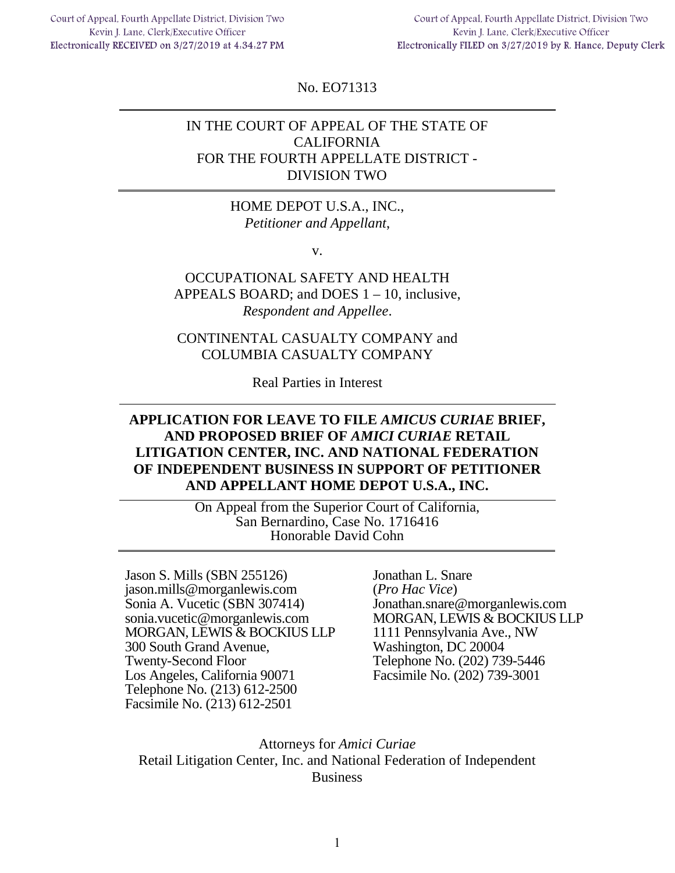Court of Appeal, Fourth Appellate District, Division Two Kevin J. Lane, Clerk/Executive Officer Electronically RECEIVED on 3/27/2019 at 4.34.27 PM

Court of Appeal, Fourth Appellate District, Division Two Kevin J. Lane, Clerk/Executive Officer Electronically FILED on 3/27/2019 by R. Hance, Deputy Clerk

No. EO71313

## IN THE COURT OF APPEAL OF THE STATE OF CALIFORNIA FOR THE FOURTH APPELLATE DISTRICT - DIVISION TWO

### HOME DEPOT U.S.A., INC., *Petitioner and Appellant*,

v.

## OCCUPATIONAL SAFETY AND HEALTH APPEALS BOARD; and DOES 1 – 10, inclusive, *Respondent and Appellee*.

## CONTINENTAL CASUALTY COMPANY and COLUMBIA CASUALTY COMPANY

Real Parties in Interest

## **APPLICATION FOR LEAVE TO FILE** *AMICUS CURIAE* **BRIEF, AND PROPOSED BRIEF OF** *AMICI CURIAE* **RETAIL LITIGATION CENTER, INC. AND NATIONAL FEDERATION OF INDEPENDENT BUSINESS IN SUPPORT OF PETITIONER AND APPELLANT HOME DEPOT U.S.A., INC.**

On Appeal from the Superior Court of California, San Bernardino, Case No. 1716416 Honorable David Cohn

Jason S. Mills (SBN 255126) jason.mills@morganlewis.com Sonia A. Vucetic (SBN 307414) sonia.vucetic@morganlewis.com MORGAN, LEWIS & BOCKIUS LLP 300 South Grand Avenue, Twenty-Second Floor Los Angeles, California 90071 Telephone No. (213) 612-2500 Facsimile No. (213) 612-2501

Jonathan L. Snare (*Pro Hac Vice*) Jonathan.snare@morganlewis.com MORGAN, LEWIS & BOCKIUS LLP 1111 Pennsylvania Ave., NW Washington, DC 20004 Telephone No. (202) 739-5446 Facsimile No. (202) 739-3001

Attorneys for *Amici Curiae*  Retail Litigation Center, Inc. and National Federation of Independent Business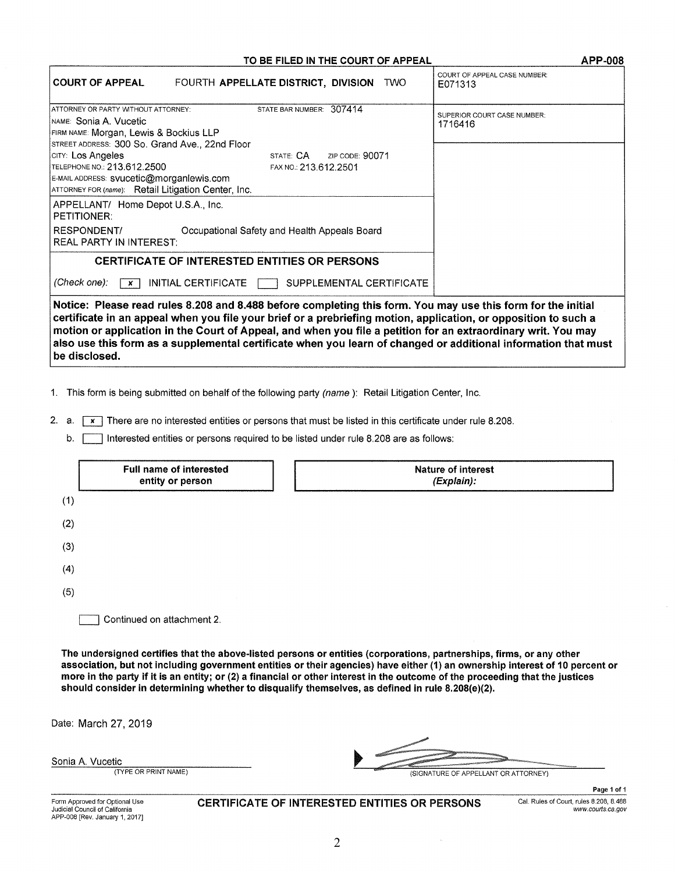#### TO BE FILED IN THE COURT OF APPEAL APP-008

| <b>COURT OF APPEAL</b>                                                                                                                                                                                                                                                                                                                                                                                                                                                              | FOURTH APPELLATE DISTRICT, DIVISION TWO                                     | COURT OF APPEAL CASE NUMBER:<br>E071313 |  |  |
|-------------------------------------------------------------------------------------------------------------------------------------------------------------------------------------------------------------------------------------------------------------------------------------------------------------------------------------------------------------------------------------------------------------------------------------------------------------------------------------|-----------------------------------------------------------------------------|-----------------------------------------|--|--|
| ATTORNEY OR PARTY WITHOUT ATTORNEY:<br>INAME: Sonia A. Vucetic<br>FIRM NAME: Morgan, Lewis & Bockius LLP                                                                                                                                                                                                                                                                                                                                                                            | STATE BAR NUMBER: 307414                                                    | SUPERIOR COURT CASE NUMBER:<br>1716416  |  |  |
| STREET ADDRESS: 300 So. Grand Ave., 22nd Floor<br>CITY: Los Angeles<br>TELEPHONE NO.: 213.612.2500<br>E-MAIL ADDRESS: svucetic@morganlewis.com<br>ATTORNEY FOR (name): Retail Litigation Center, Inc.                                                                                                                                                                                                                                                                               | STATE: CA<br>FAX NO.: 213.612.2501                                          | ZIP CODE: 90071                         |  |  |
| APPELLANT/ Home Depot U.S.A., Inc.<br><b>PETITIONER:</b><br><b>RESPONDENT/</b><br><b>REAL PARTY IN INTEREST:</b>                                                                                                                                                                                                                                                                                                                                                                    | Occupational Safety and Health Appeals Board                                |                                         |  |  |
| (Check one):<br>$\boldsymbol{x}$                                                                                                                                                                                                                                                                                                                                                                                                                                                    | <b>CERTIFICATE OF INTERESTED ENTITIES OR PERSONS</b><br>INITIAL CERTIFICATE | SUPPLEMENTAL CERTIFICATE                |  |  |
| Notice: Please read rules 8.208 and 8.488 before completing this form. You may use this form for the initial<br>certificate in an appeal when you file your brief or a prebriefing motion, application, or opposition to such a<br>motion or application in the Court of Appeal, and when you file a petition for an extraordinary writ. You may<br>also use this form as a supplemental certificate when you learn of changed or additional information that must<br>be disclosed. |                                                                             |                                         |  |  |

1. This form is being submitted on behalf of the following party (name ): Retail Litigation Center, Inc.

2. a.  $\boxed{x}$  There are no interested entities or persons that must be listed in this certificate under rule 8.208.

b. Interested entities or persons required to be listed under rule 8.208 are as follows:

|     | Full name of interested<br>entity or person | <b>Nature of interest</b><br>(Explain): |
|-----|---------------------------------------------|-----------------------------------------|
| (1) |                                             |                                         |
| (2) |                                             |                                         |
| (3) |                                             |                                         |
| (4) |                                             |                                         |
| (5) |                                             |                                         |
|     | Continued on attachment 2.                  |                                         |

The undersigned certifies that the above-listed persons or entities (corporations, partnerships, firms, or any other association, but not including government entities or their agencies) have either (1) an ownership interest of 10 percent or more in the party if it is an entity; or (2) a financial or other interest in the outcome of the proceeding that the justices should consider in determining whether to disqualify themselves, as defined in rule 8.208(e)(2).

Date: March 27, 2019

| Sonia A. Vucetic |  |                |  |
|------------------|--|----------------|--|
|                  |  | <b>ALCO AN</b> |  |

| tic                  |                                      |
|----------------------|--------------------------------------|
| (TYPE OR PRINT NAME) | (SIGNATURE OF APPELLANT OR ATTORNEY) |

Form Approved for Optional Use Judicial Council of California APP-008 [Rev. January 1, 2017] CERTIFICATE OF INTERESTED ENTITIES OR PERSONS Cal. Rules of Court, rules 8.208, 8.488

Page 1 of 1 www.courts.ca.gov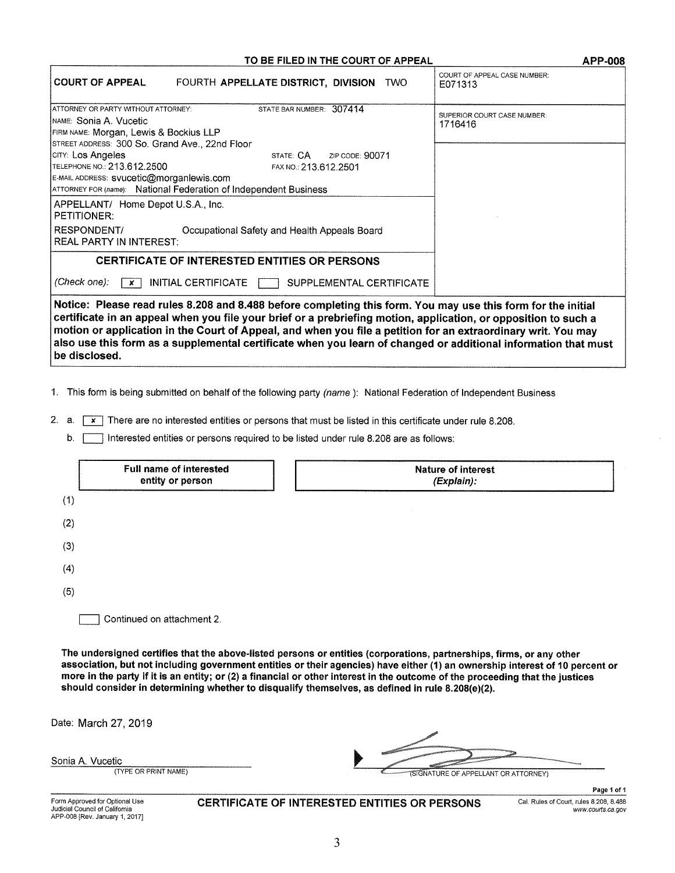#### TO BE FILED IN THE COURT OF APPEAL **APP-008**

| <b>COURT OF APPEAL</b>                                                                                                                                                                                                                                                                                                                                                                                                                                                              | FOURTH APPELLATE DISTRICT, DIVISION TWO                                                                |                          | COURT OF APPEAL CASE NUMBER:<br>E071313 |  |
|-------------------------------------------------------------------------------------------------------------------------------------------------------------------------------------------------------------------------------------------------------------------------------------------------------------------------------------------------------------------------------------------------------------------------------------------------------------------------------------|--------------------------------------------------------------------------------------------------------|--------------------------|-----------------------------------------|--|
| ATTORNEY OR PARTY WITHOUT ATTORNEY:<br>Імамє: Sonia A. Vucetic                                                                                                                                                                                                                                                                                                                                                                                                                      | STATE BAR NUMBER: 307414                                                                               |                          | SUPERIOR COURT CASE NUMBER:             |  |
| FIRM NAME: Morgan, Lewis & Bockius LLP<br>STREET ADDRESS: 300 So. Grand Ave., 22nd Floor                                                                                                                                                                                                                                                                                                                                                                                            |                                                                                                        |                          | 1716416                                 |  |
| CITY: Los Angeles<br>TELEPHONE NO.: 213.612.2500<br>E-MAIL ADDRESS: svucetic@morganlewis.com                                                                                                                                                                                                                                                                                                                                                                                        | STATE: CA<br>FAX NO.: 213.612.2501<br>ATTORNEY FOR (name): National Federation of Independent Business | ZIP CODE: 90071          |                                         |  |
| APPELLANT/ Home Depot U.S.A., Inc.<br><b>PETITIONER:</b><br>RESPONDENT/<br><b>REAL PARTY IN INTEREST:</b>                                                                                                                                                                                                                                                                                                                                                                           | Occupational Safety and Health Appeals Board                                                           |                          |                                         |  |
|                                                                                                                                                                                                                                                                                                                                                                                                                                                                                     | <b>CERTIFICATE OF INTERESTED ENTITIES OR PERSONS</b>                                                   |                          |                                         |  |
| (Check one):<br>$\mathbf{x}$                                                                                                                                                                                                                                                                                                                                                                                                                                                        | INITIAL CERTIFICATE                                                                                    | SUPPLEMENTAL CERTIFICATE |                                         |  |
| Notice: Please read rules 8.208 and 8.488 before completing this form. You may use this form for the initial<br>certificate in an appeal when you file your brief or a prebriefing motion, application, or opposition to such a<br>motion or application in the Court of Appeal, and when you file a petition for an extraordinary writ. You may<br>also use this form as a supplemental certificate when you learn of changed or additional information that must<br>be disclosed. |                                                                                                        |                          |                                         |  |

1. This form is being submitted on behalf of the following party (name ): National Federation of Independent Business

2. a.  $\boxed{\mathbf{x}}$  There are no interested entities or persons that must be listed in this certificate under rule 8.208.

b. **Interested entities or persons required to be listed under rule 8.208 are as follows:** 

|     | Full name of interested<br>entity or person | <b>Nature of interest</b><br>(Explain): |
|-----|---------------------------------------------|-----------------------------------------|
| (1) |                                             |                                         |
| (2) |                                             |                                         |
| (3) |                                             |                                         |
| (4) |                                             |                                         |
| (5) |                                             |                                         |
|     | Continued on attachment 2.                  |                                         |

The undersigned certifies that the above-listed persons or entities (corporations, partnerships, firms, or any other association, but not including government entities or their agencies) have either (1) an ownership interest of 10 percent or more in the party if it is an entity; or (2) a financial or other interest in the outcome of the proceeding that the justices should consider in determining whether to disqualify themselves, as defined in rule 8.208(e)(2).

Date: March 27, 2019

|  | Sonia A. Vucetic |
|--|------------------|
|  | TURF             |

| tic                  |                                       |
|----------------------|---------------------------------------|
| (TYPE OR PRINT NAME) | "(SIGNATURE OF APPELLANT OR ATTORNEY) |

Form Approved for Optional Use Judicial Council of California APP-008 [Rev. January 1, 2017] CERTIFICATE OF INTERESTED ENTITIES OR PERSONS Cal. Rules of Court, rules 8.208, 8.488

Page 1 of 1 www.courts.ca.gov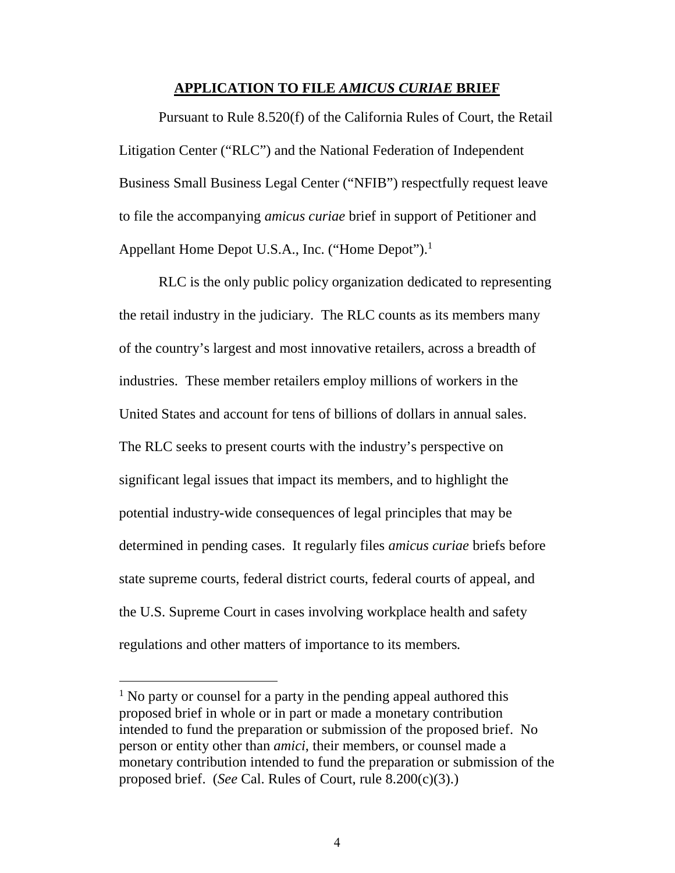#### <span id="page-3-2"></span>**APPLICATION TO FILE** *AMICUS CURIAE* **BRIEF**

Pursuant to Rule 8.520(f) of the California Rules of Court, the Retail Litigation Center ("RLC") and the National Federation of Independent Business Small Business Legal Center ("NFIB") respectfully request leave to file the accompanying *amicus curiae* brief in support of Petitioner and Appellant Home Depot U.S.A., Inc. ("Home Depot").<sup>[1](#page-3-0)</sup>

RLC is the only public policy organization dedicated to representing the retail industry in the judiciary. The RLC counts as its members many of the country's largest and most innovative retailers, across a breadth of industries. These member retailers employ millions of workers in the United States and account for tens of billions of dollars in annual sales. The RLC seeks to present courts with the industry's perspective on significant legal issues that impact its members, and to highlight the potential industry-wide consequences of legal principles that may be determined in pending cases. It regularly files *amicus curiae* briefs before state supreme courts, federal district courts, federal courts of appeal, and the U.S. Supreme Court in cases involving workplace health and safety regulations and other matters of importance to its members*.*

<span id="page-3-1"></span><span id="page-3-0"></span><sup>&</sup>lt;sup>1</sup> No party or counsel for a party in the pending appeal authored this proposed brief in whole or in part or made a monetary contribution intended to fund the preparation or submission of the proposed brief. No person or entity other than *amici*, their members, or counsel made a monetary contribution intended to fund the preparation or submission of the proposed brief. (*See* Cal. Rules of Court, rule 8.200(c)(3).)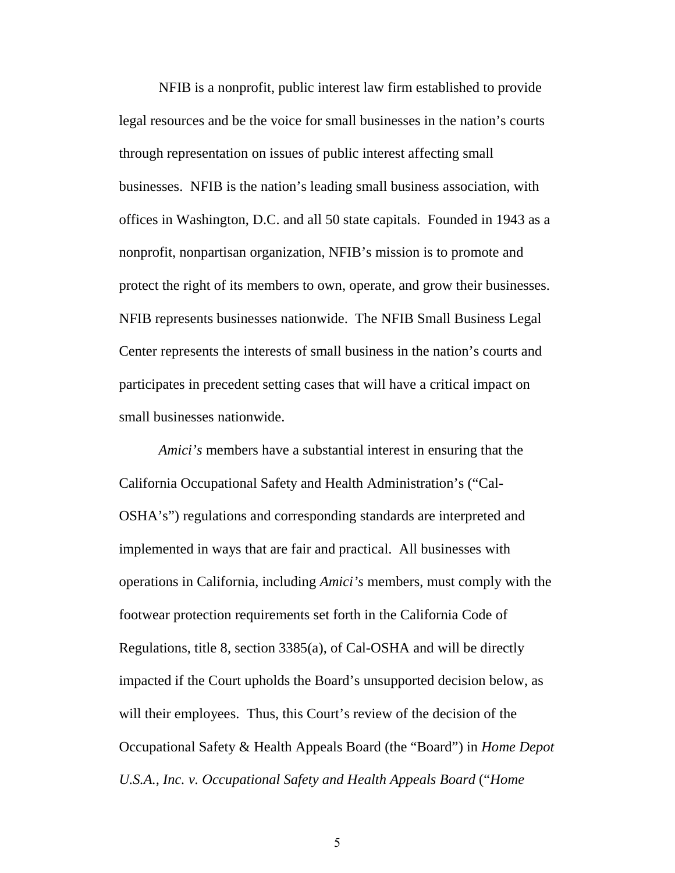NFIB is a nonprofit, public interest law firm established to provide legal resources and be the voice for small businesses in the nation's courts through representation on issues of public interest affecting small businesses. NFIB is the nation's leading small business association, with offices in Washington, D.C. and all 50 state capitals. Founded in 1943 as a nonprofit, nonpartisan organization, NFIB's mission is to promote and protect the right of its members to own, operate, and grow their businesses. NFIB represents businesses nationwide. The NFIB Small Business Legal Center represents the interests of small business in the nation's courts and participates in precedent setting cases that will have a critical impact on small businesses nationwide.

<span id="page-4-1"></span><span id="page-4-0"></span>*Amici's* members have a substantial interest in ensuring that the California Occupational Safety and Health Administration's ("Cal-OSHA's") regulations and corresponding standards are interpreted and implemented in ways that are fair and practical. All businesses with operations in California, including *Amici's* members, must comply with the footwear protection requirements set forth in the California Code of Regulations, title 8, section 3385(a), of Cal-OSHA and will be directly impacted if the Court upholds the Board's unsupported decision below, as will their employees. Thus, this Court's review of the decision of the Occupational Safety & Health Appeals Board (the "Board") in *Home Depot U.S.A., Inc. v. Occupational Safety and Health Appeals Board* ("*Home*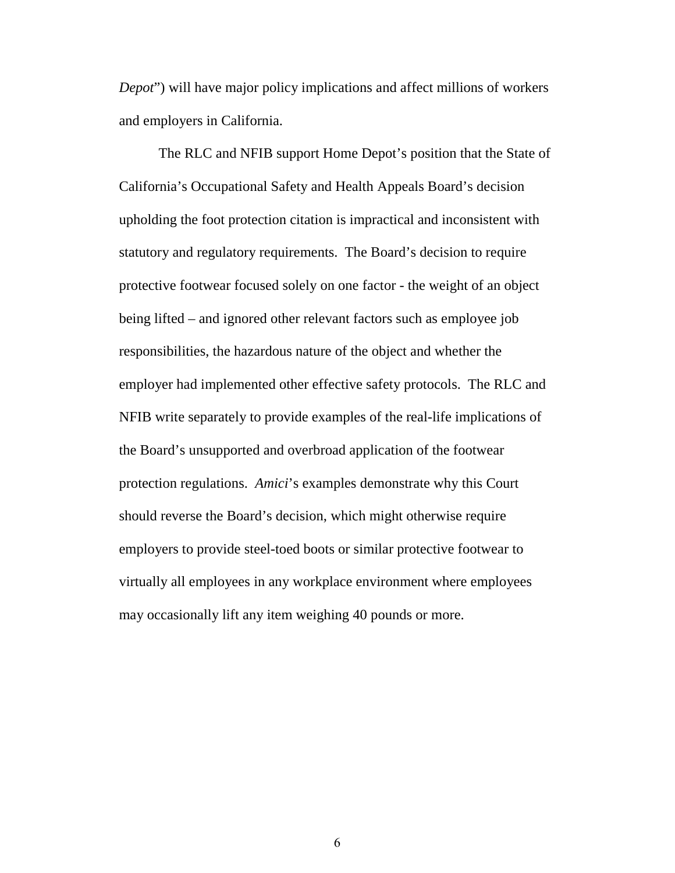*Depot*") will have major policy implications and affect millions of workers and employers in California.

The RLC and NFIB support Home Depot's position that the State of California's Occupational Safety and Health Appeals Board's decision upholding the foot protection citation is impractical and inconsistent with statutory and regulatory requirements. The Board's decision to require protective footwear focused solely on one factor - the weight of an object being lifted – and ignored other relevant factors such as employee job responsibilities, the hazardous nature of the object and whether the employer had implemented other effective safety protocols. The RLC and NFIB write separately to provide examples of the real-life implications of the Board's unsupported and overbroad application of the footwear protection regulations. *Amici*'s examples demonstrate why this Court should reverse the Board's decision, which might otherwise require employers to provide steel-toed boots or similar protective footwear to virtually all employees in any workplace environment where employees may occasionally lift any item weighing 40 pounds or more.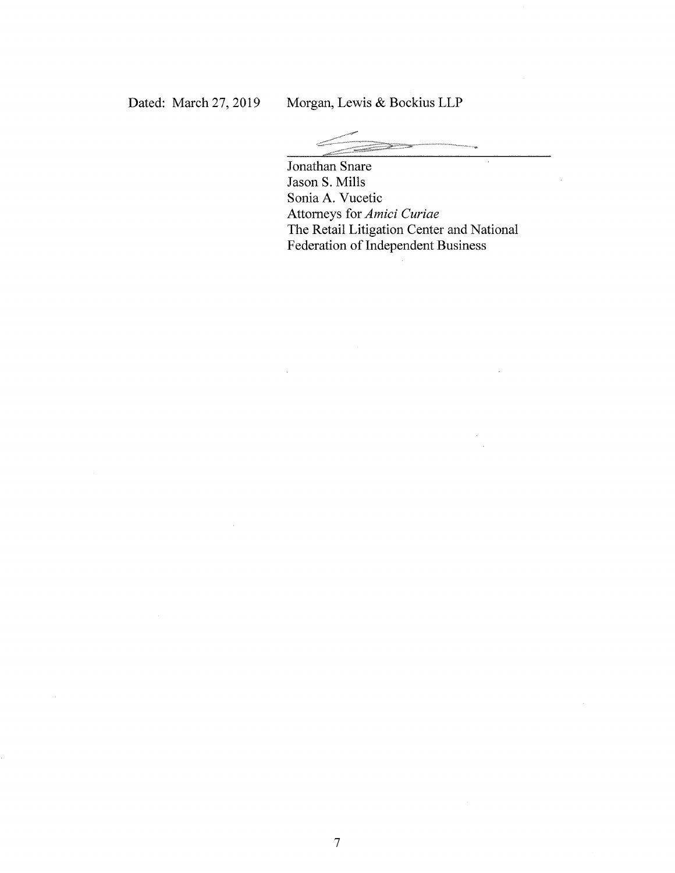Jonathan Snare Jason S. Mills Sonia A. Vucetic Attorneys for Amici Curiae The Retail Litigation Center and National Federation of Independent Business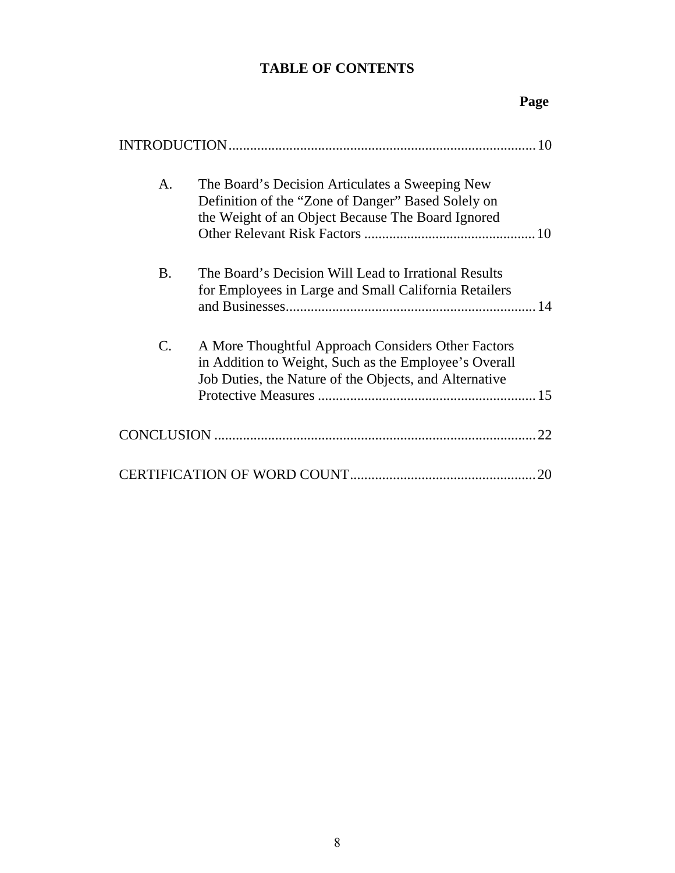# **TABLE OF CONTENTS**

# **Page**

| A.        | The Board's Decision Articulates a Sweeping New<br>Definition of the "Zone of Danger" Based Solely on<br>the Weight of an Object Because The Board Ignored            |
|-----------|-----------------------------------------------------------------------------------------------------------------------------------------------------------------------|
| <b>B.</b> | The Board's Decision Will Lead to Irrational Results<br>for Employees in Large and Small California Retailers                                                         |
| C.        | A More Thoughtful Approach Considers Other Factors<br>in Addition to Weight, Such as the Employee's Overall<br>Job Duties, the Nature of the Objects, and Alternative |
|           | .22                                                                                                                                                                   |
|           | 20                                                                                                                                                                    |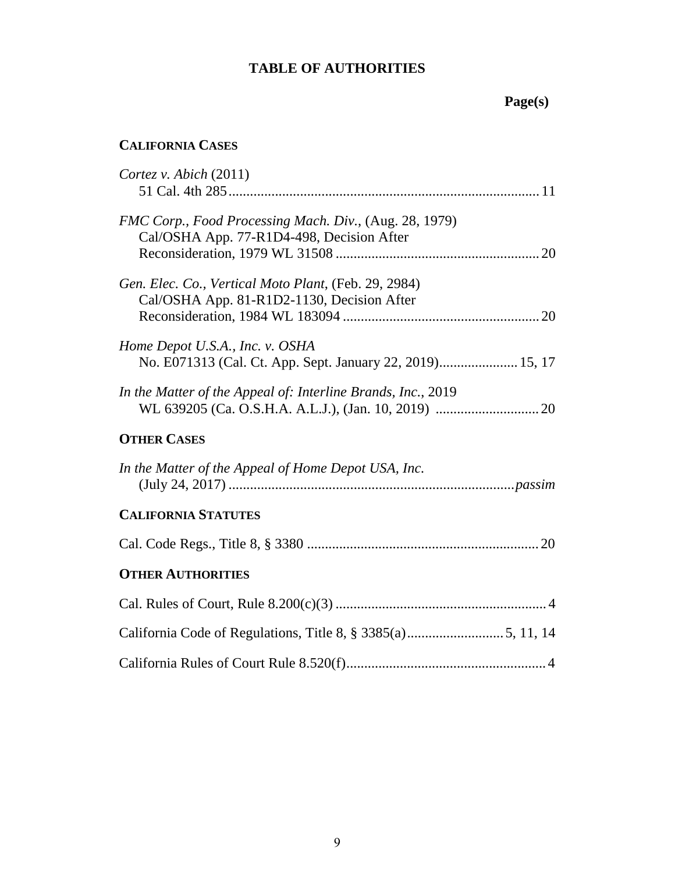## **TABLE OF AUTHORITIES**

# **Page(s)**

# **CALIFORNIA CASES**

| Cortez v. Abich $(2011)$                                                                            |  |
|-----------------------------------------------------------------------------------------------------|--|
| FMC Corp., Food Processing Mach. Div., (Aug. 28, 1979)<br>Cal/OSHA App. 77-R1D4-498, Decision After |  |
| Gen. Elec. Co., Vertical Moto Plant, (Feb. 29, 2984)<br>Cal/OSHA App. 81-R1D2-1130, Decision After  |  |
| Home Depot U.S.A., Inc. v. OSHA<br>No. E071313 (Cal. Ct. App. Sept. January 22, 2019) 15, 17        |  |
| In the Matter of the Appeal of: Interline Brands, Inc., 2019                                        |  |
| <b>OTHER CASES</b>                                                                                  |  |
| In the Matter of the Appeal of Home Depot USA, Inc.                                                 |  |
| <b>CALIFORNIA STATUTES</b>                                                                          |  |
|                                                                                                     |  |
| <b>OTHER AUTHORITIES</b>                                                                            |  |
|                                                                                                     |  |
|                                                                                                     |  |
|                                                                                                     |  |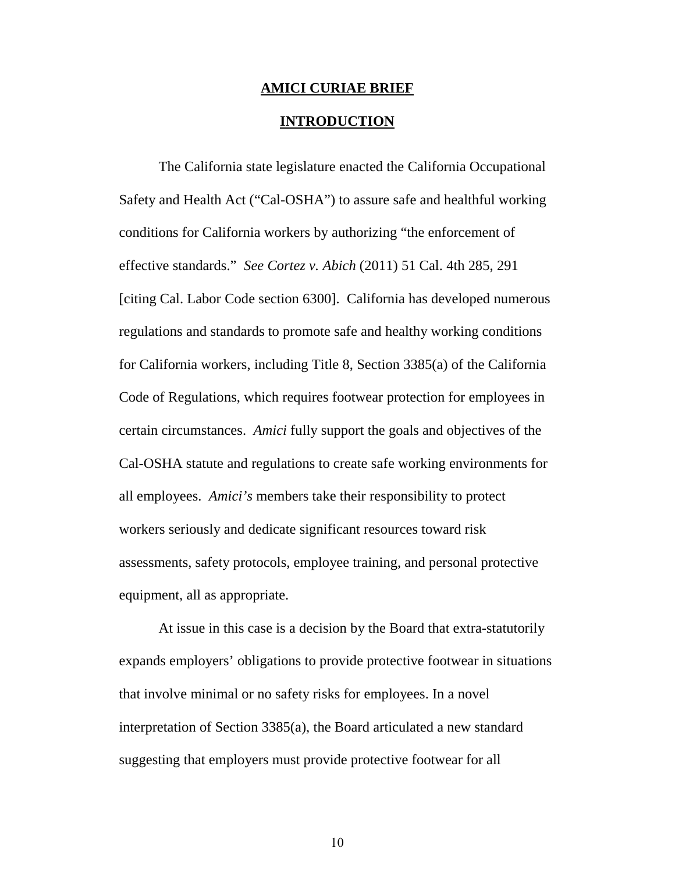#### **AMICI CURIAE BRIEF**

#### <span id="page-9-2"></span><span id="page-9-1"></span>**INTRODUCTION**

<span id="page-9-0"></span>The California state legislature enacted the California Occupational Safety and Health Act ("Cal-OSHA") to assure safe and healthful working conditions for California workers by authorizing "the enforcement of effective standards." *See Cortez v. Abich* (2011) 51 Cal. 4th 285, 291 [citing Cal. Labor Code section 6300]. California has developed numerous regulations and standards to promote safe and healthy working conditions for California workers, including Title 8, Section 3385(a) of the California Code of Regulations, which requires footwear protection for employees in certain circumstances. *Amici* fully support the goals and objectives of the Cal-OSHA statute and regulations to create safe working environments for all employees. *Amici's* members take their responsibility to protect workers seriously and dedicate significant resources toward risk assessments, safety protocols, employee training, and personal protective equipment, all as appropriate.

At issue in this case is a decision by the Board that extra-statutorily expands employers' obligations to provide protective footwear in situations that involve minimal or no safety risks for employees. In a novel interpretation of Section 3385(a), the Board articulated a new standard suggesting that employers must provide protective footwear for all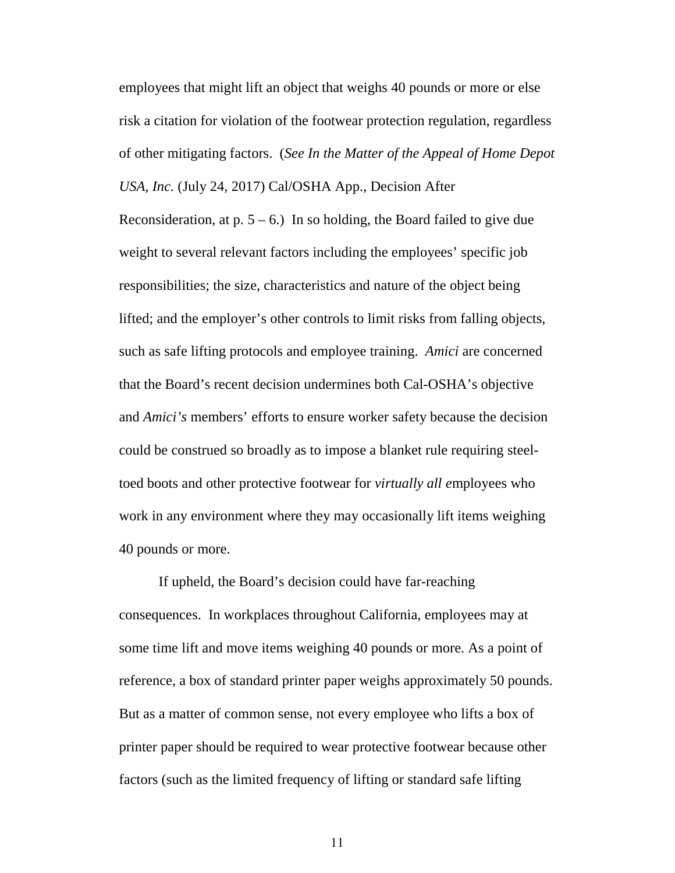employees that might lift an object that weighs 40 pounds or more or else risk a citation for violation of the footwear protection regulation, regardless of other mitigating factors. (*See In the Matter of the Appeal of Home Depot USA, Inc.* (July 24, 2017) Cal/OSHA App., Decision After

Reconsideration, at  $p. 5 - 6$ .) In so holding, the Board failed to give due weight to several relevant factors including the employees' specific job responsibilities; the size, characteristics and nature of the object being lifted; and the employer's other controls to limit risks from falling objects, such as safe lifting protocols and employee training. *Amici* are concerned that the Board's recent decision undermines both Cal-OSHA's objective and *Amici's* members' efforts to ensure worker safety because the decision could be construed so broadly as to impose a blanket rule requiring steeltoed boots and other protective footwear for *virtually all e*mployees who work in any environment where they may occasionally lift items weighing 40 pounds or more.

If upheld, the Board's decision could have far-reaching consequences. In workplaces throughout California, employees may at some time lift and move items weighing 40 pounds or more. As a point of reference, a box of standard printer paper weighs approximately 50 pounds. But as a matter of common sense, not every employee who lifts a box of printer paper should be required to wear protective footwear because other factors (such as the limited frequency of lifting or standard safe lifting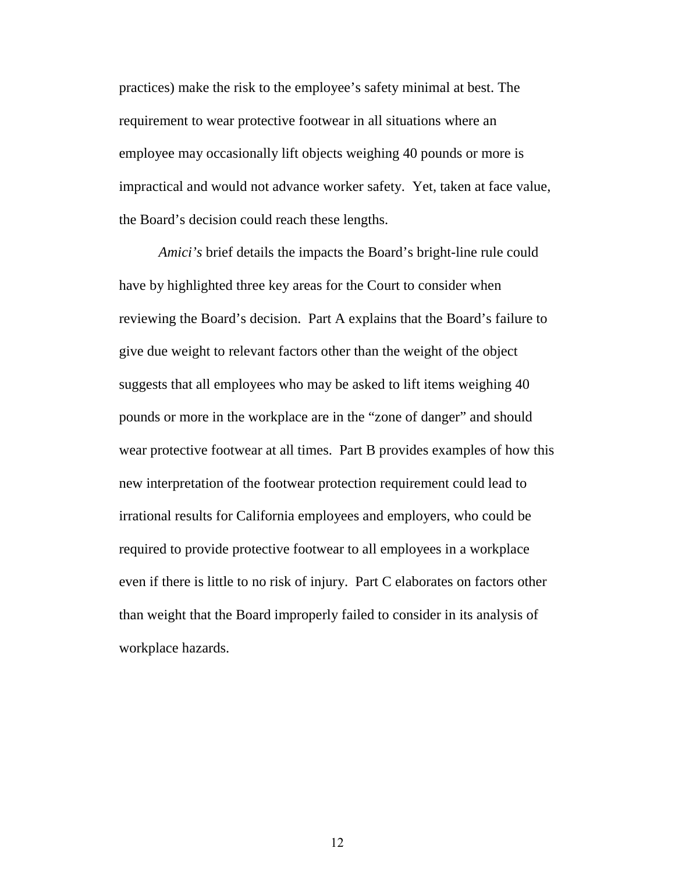practices) make the risk to the employee's safety minimal at best. The requirement to wear protective footwear in all situations where an employee may occasionally lift objects weighing 40 pounds or more is impractical and would not advance worker safety. Yet, taken at face value, the Board's decision could reach these lengths.

*Amici's* brief details the impacts the Board's bright-line rule could have by highlighted three key areas for the Court to consider when reviewing the Board's decision. Part A explains that the Board's failure to give due weight to relevant factors other than the weight of the object suggests that all employees who may be asked to lift items weighing 40 pounds or more in the workplace are in the "zone of danger" and should wear protective footwear at all times. Part B provides examples of how this new interpretation of the footwear protection requirement could lead to irrational results for California employees and employers, who could be required to provide protective footwear to all employees in a workplace even if there is little to no risk of injury. Part C elaborates on factors other than weight that the Board improperly failed to consider in its analysis of workplace hazards.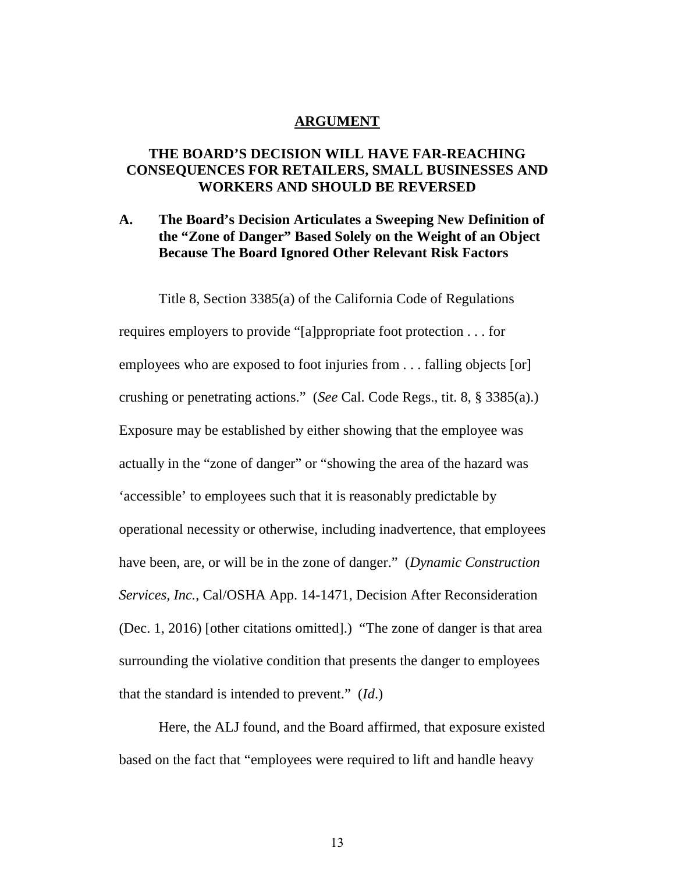#### **ARGUMENT**

## **THE BOARD'S DECISION WILL HAVE FAR-REACHING CONSEQUENCES FOR RETAILERS, SMALL BUSINESSES AND WORKERS AND SHOULD BE REVERSED**

## <span id="page-12-0"></span>**A. The Board's Decision Articulates a Sweeping New Definition of the "Zone of Danger" Based Solely on the Weight of an Object Because The Board Ignored Other Relevant Risk Factors**

<span id="page-12-1"></span>Title 8, Section 3385(a) of the California Code of Regulations requires employers to provide "[a]ppropriate foot protection . . . for employees who are exposed to foot injuries from . . . falling objects [or] crushing or penetrating actions." (*See* Cal. Code Regs., tit. 8, § 3385(a).) Exposure may be established by either showing that the employee was actually in the "zone of danger" or "showing the area of the hazard was 'accessible' to employees such that it is reasonably predictable by operational necessity or otherwise, including inadvertence, that employees have been, are, or will be in the zone of danger." (*Dynamic Construction Services, Inc.*, Cal/OSHA App. 14-1471, Decision After Reconsideration (Dec. 1, 2016) [other citations omitted].) "The zone of danger is that area surrounding the violative condition that presents the danger to employees that the standard is intended to prevent." (*Id*.)

Here, the ALJ found, and the Board affirmed, that exposure existed based on the fact that "employees were required to lift and handle heavy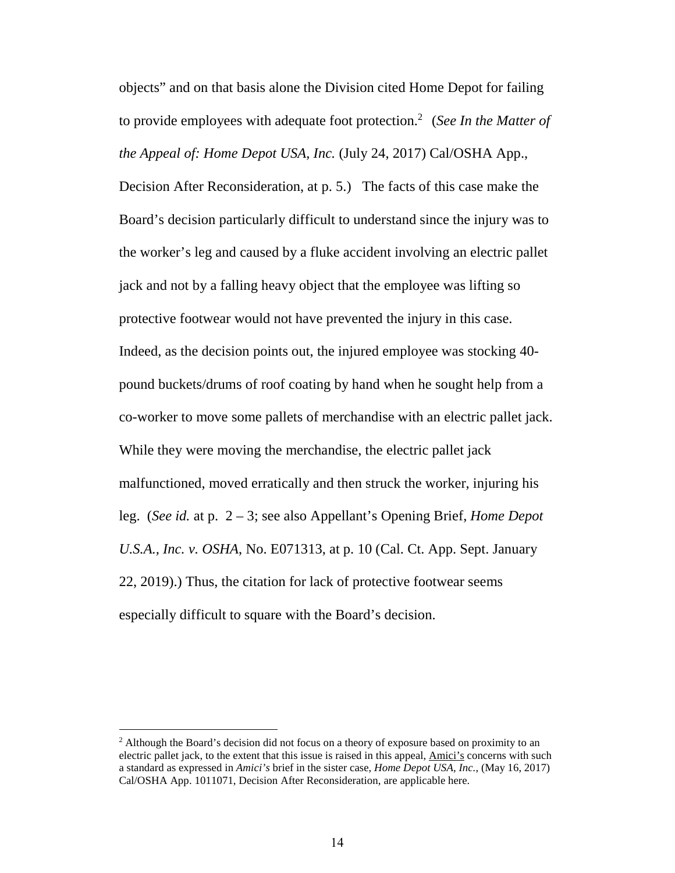objects" and on that basis alone the Division cited Home Depot for failing to provide employees with adequate foot protection.[2](#page-13-1) (*See In the Matter of the Appeal of: Home Depot USA, Inc.* (July 24, 2017) Cal/OSHA App.,

Decision After Reconsideration, at p. 5.) The facts of this case make the Board's decision particularly difficult to understand since the injury was to the worker's leg and caused by a fluke accident involving an electric pallet jack and not by a falling heavy object that the employee was lifting so protective footwear would not have prevented the injury in this case. Indeed, as the decision points out, the injured employee was stocking 40 pound buckets/drums of roof coating by hand when he sought help from a co-worker to move some pallets of merchandise with an electric pallet jack. While they were moving the merchandise, the electric pallet jack malfunctioned, moved erratically and then struck the worker, injuring his leg. (*See id.* at p. 2 – 3; see also Appellant's Opening Brief, *Home Depot U.S.A., Inc. v. OSHA*, No. E071313, at p. 10 (Cal. Ct. App. Sept. January 22, 2019).) Thus, the citation for lack of protective footwear seems especially difficult to square with the Board's decision.

<span id="page-13-1"></span><span id="page-13-0"></span><sup>&</sup>lt;sup>2</sup> Although the Board's decision did not focus on a theory of exposure based on proximity to an electric pallet jack, to the extent that this issue is raised in this appeal, Amici's concerns with such a standard as expressed in *Amici's* brief in the sister case, *Home Depot USA, Inc.*, (May 16, 2017) Cal/OSHA App. 1011071, Decision After Reconsideration, are applicable here.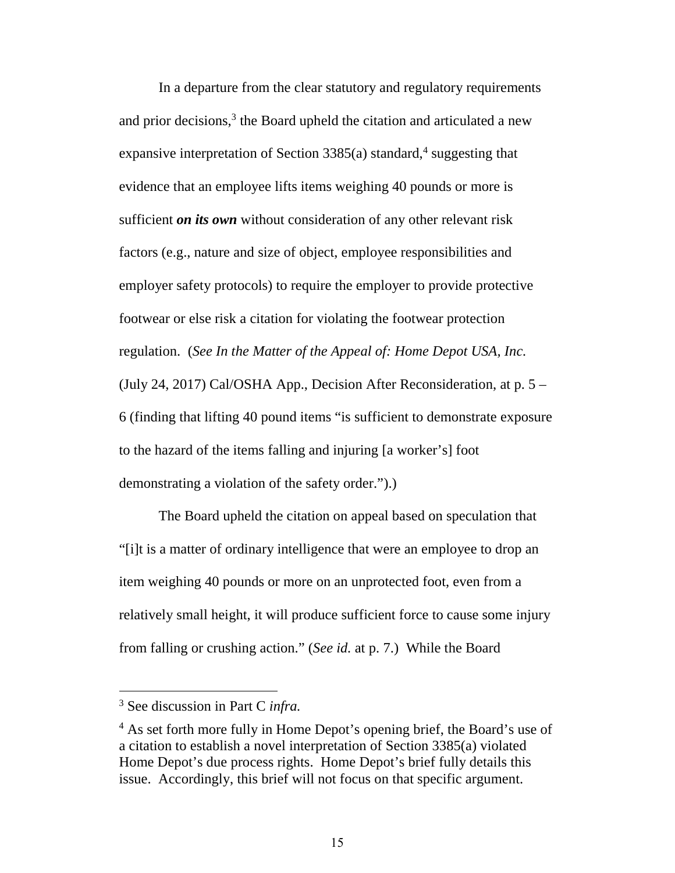In a departure from the clear statutory and regulatory requirements and prior decisions, $3$  the Board upheld the citation and articulated a new expansive interpretation of Section 3385(a) standard,<sup>[4](#page-14-1)</sup> suggesting that evidence that an employee lifts items weighing 40 pounds or more is sufficient *on its own* without consideration of any other relevant risk factors (e.g., nature and size of object, employee responsibilities and employer safety protocols) to require the employer to provide protective footwear or else risk a citation for violating the footwear protection regulation. (*See In the Matter of the Appeal of: Home Depot USA, Inc.* (July 24, 2017) Cal/OSHA App., Decision After Reconsideration, at p. 5 – 6 (finding that lifting 40 pound items "is sufficient to demonstrate exposure to the hazard of the items falling and injuring [a worker's] foot demonstrating a violation of the safety order.").)

The Board upheld the citation on appeal based on speculation that "[i]t is a matter of ordinary intelligence that were an employee to drop an item weighing 40 pounds or more on an unprotected foot, even from a relatively small height, it will produce sufficient force to cause some injury from falling or crushing action." (*See id.* at p. 7.) While the Board

<span id="page-14-0"></span><sup>3</sup> See discussion in Part C *infra.*

<span id="page-14-1"></span><sup>&</sup>lt;sup>4</sup> As set forth more fully in Home Depot's opening brief, the Board's use of a citation to establish a novel interpretation of Section 3385(a) violated Home Depot's due process rights. Home Depot's brief fully details this issue. Accordingly, this brief will not focus on that specific argument.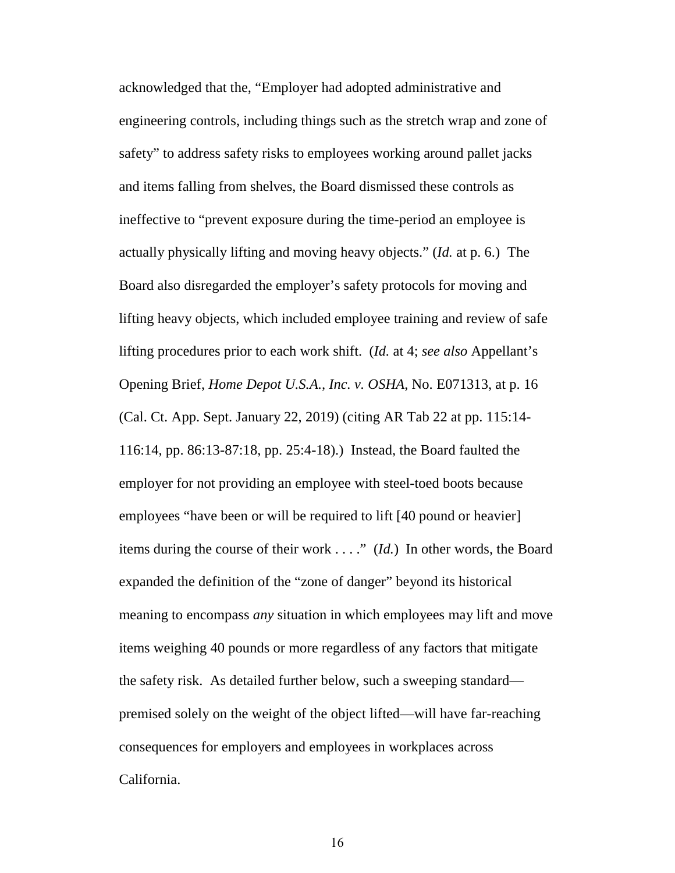<span id="page-15-0"></span>acknowledged that the, "Employer had adopted administrative and engineering controls, including things such as the stretch wrap and zone of safety" to address safety risks to employees working around pallet jacks and items falling from shelves, the Board dismissed these controls as ineffective to "prevent exposure during the time-period an employee is actually physically lifting and moving heavy objects." (*Id.* at p. 6.) The Board also disregarded the employer's safety protocols for moving and lifting heavy objects, which included employee training and review of safe lifting procedures prior to each work shift. (*Id.* at 4; *see also* Appellant's Opening Brief, *Home Depot U.S.A., Inc. v. OSHA*, No. E071313, at p. 16 (Cal. Ct. App. Sept. January 22, 2019) (citing AR Tab 22 at pp. 115:14- 116:14, pp. 86:13-87:18, pp. 25:4-18).) Instead, the Board faulted the employer for not providing an employee with steel-toed boots because employees "have been or will be required to lift [40 pound or heavier] items during the course of their work . . . ." (*Id.*) In other words, the Board expanded the definition of the "zone of danger" beyond its historical meaning to encompass *any* situation in which employees may lift and move items weighing 40 pounds or more regardless of any factors that mitigate the safety risk. As detailed further below, such a sweeping standard premised solely on the weight of the object lifted—will have far-reaching consequences for employers and employees in workplaces across California.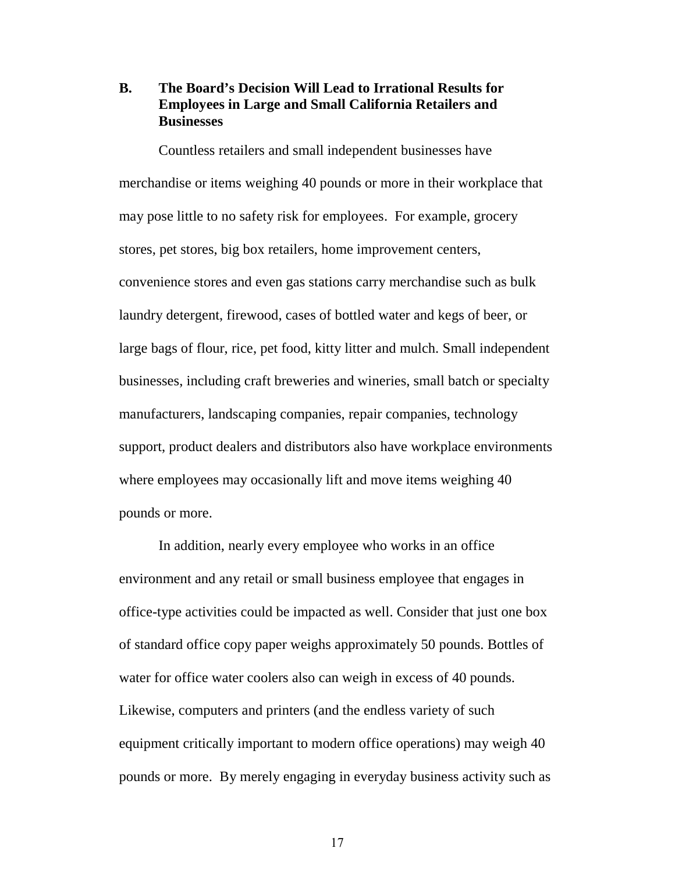## <span id="page-16-0"></span>**B. The Board's Decision Will Lead to Irrational Results for Employees in Large and Small California Retailers and Businesses**

Countless retailers and small independent businesses have merchandise or items weighing 40 pounds or more in their workplace that may pose little to no safety risk for employees. For example, grocery stores, pet stores, big box retailers, home improvement centers, convenience stores and even gas stations carry merchandise such as bulk laundry detergent, firewood, cases of bottled water and kegs of beer, or large bags of flour, rice, pet food, kitty litter and mulch. Small independent businesses, including craft breweries and wineries, small batch or specialty manufacturers, landscaping companies, repair companies, technology support, product dealers and distributors also have workplace environments where employees may occasionally lift and move items weighing 40 pounds or more.

In addition, nearly every employee who works in an office environment and any retail or small business employee that engages in office-type activities could be impacted as well. Consider that just one box of standard office copy paper weighs approximately 50 pounds. Bottles of water for office water coolers also can weigh in excess of 40 pounds. Likewise, computers and printers (and the endless variety of such equipment critically important to modern office operations) may weigh 40 pounds or more. By merely engaging in everyday business activity such as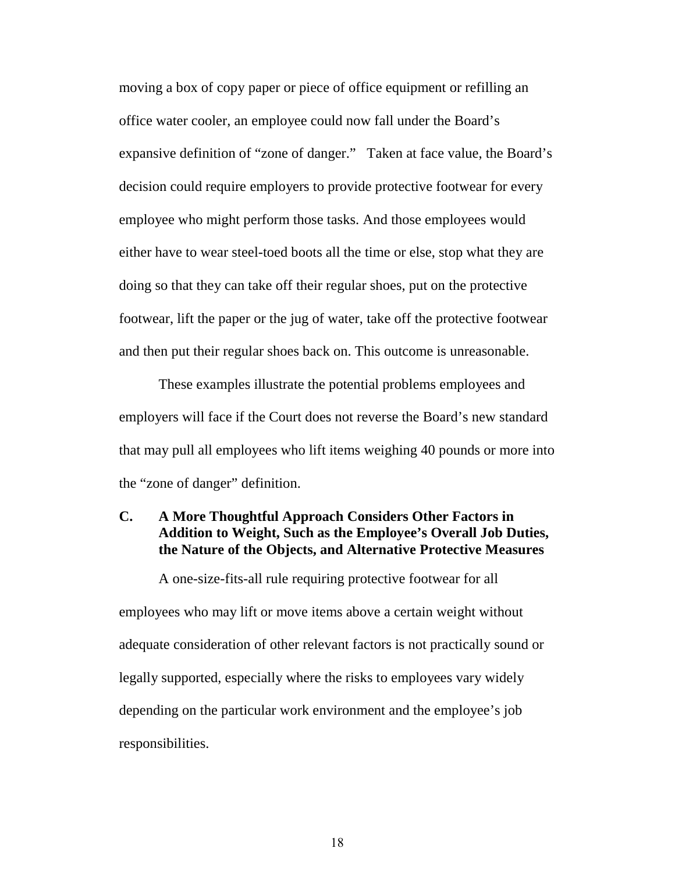moving a box of copy paper or piece of office equipment or refilling an office water cooler, an employee could now fall under the Board's expansive definition of "zone of danger." Taken at face value, the Board's decision could require employers to provide protective footwear for every employee who might perform those tasks. And those employees would either have to wear steel-toed boots all the time or else, stop what they are doing so that they can take off their regular shoes, put on the protective footwear, lift the paper or the jug of water, take off the protective footwear and then put their regular shoes back on. This outcome is unreasonable.

These examples illustrate the potential problems employees and employers will face if the Court does not reverse the Board's new standard that may pull all employees who lift items weighing 40 pounds or more into the "zone of danger" definition.

## <span id="page-17-0"></span>**C. A More Thoughtful Approach Considers Other Factors in Addition to Weight, Such as the Employee's Overall Job Duties, the Nature of the Objects, and Alternative Protective Measures**

A one-size-fits-all rule requiring protective footwear for all employees who may lift or move items above a certain weight without adequate consideration of other relevant factors is not practically sound or legally supported, especially where the risks to employees vary widely depending on the particular work environment and the employee's job responsibilities.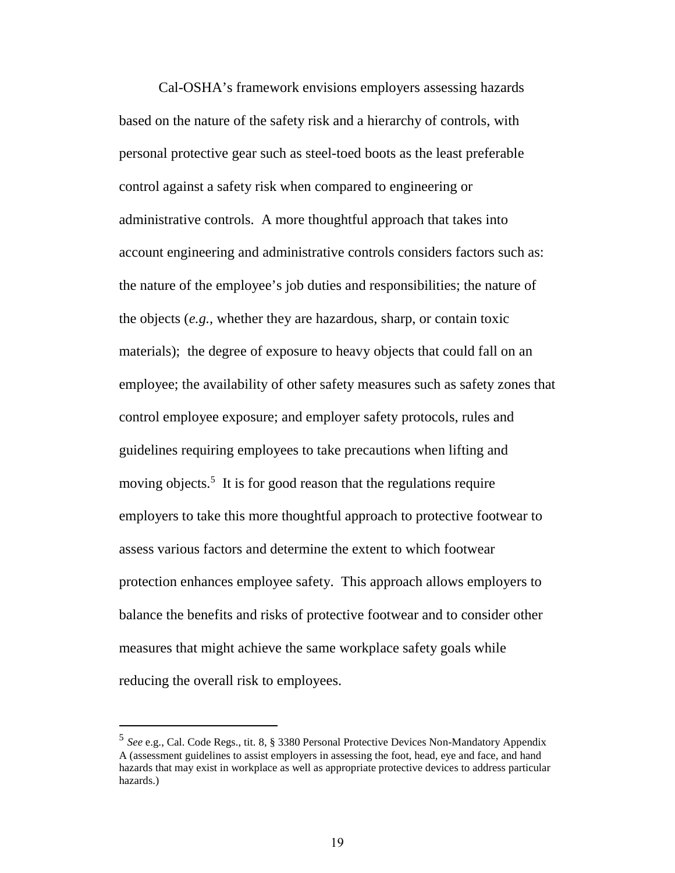Cal-OSHA's framework envisions employers assessing hazards based on the nature of the safety risk and a hierarchy of controls, with personal protective gear such as steel-toed boots as the least preferable control against a safety risk when compared to engineering or administrative controls. A more thoughtful approach that takes into account engineering and administrative controls considers factors such as: the nature of the employee's job duties and responsibilities; the nature of the objects (*e.g.,* whether they are hazardous, sharp, or contain toxic materials); the degree of exposure to heavy objects that could fall on an employee; the availability of other safety measures such as safety zones that control employee exposure; and employer safety protocols, rules and guidelines requiring employees to take precautions when lifting and moving objects.<sup>[5](#page-18-1)</sup> It is for good reason that the regulations require employers to take this more thoughtful approach to protective footwear to assess various factors and determine the extent to which footwear protection enhances employee safety. This approach allows employers to balance the benefits and risks of protective footwear and to consider other measures that might achieve the same workplace safety goals while reducing the overall risk to employees.

<span id="page-18-1"></span><span id="page-18-0"></span><sup>5</sup> *See* e.g., Cal. Code Regs., tit. 8, § 3380 Personal Protective Devices Non-Mandatory Appendix A (assessment guidelines to assist employers in assessing the foot, head, eye and face, and hand hazards that may exist in workplace as well as appropriate protective devices to address particular hazards.)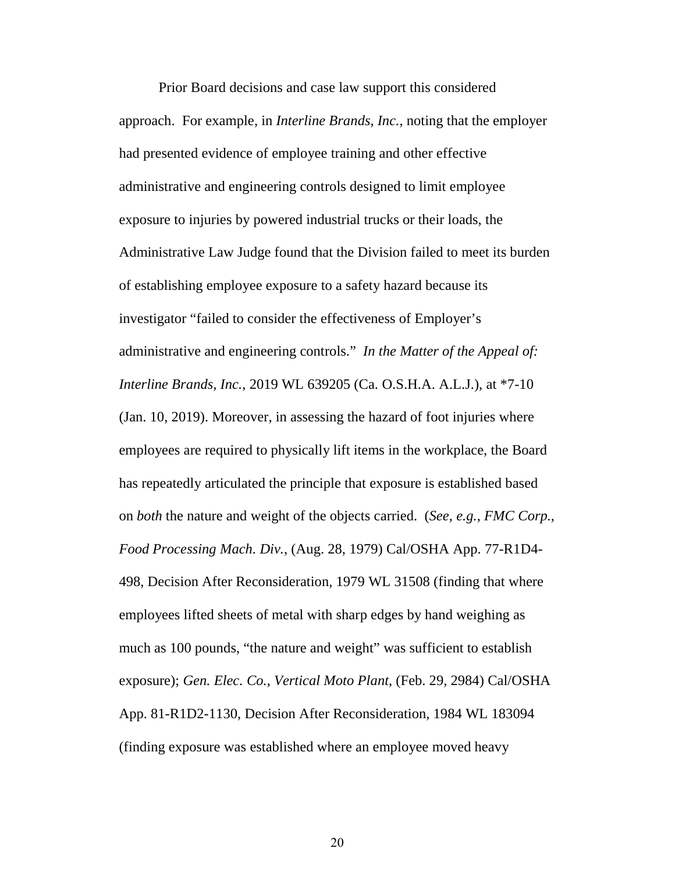Prior Board decisions and case law support this considered approach. For example, in *Interline Brands, Inc.*, noting that the employer had presented evidence of employee training and other effective administrative and engineering controls designed to limit employee exposure to injuries by powered industrial trucks or their loads, the Administrative Law Judge found that the Division failed to meet its burden of establishing employee exposure to a safety hazard because its investigator "failed to consider the effectiveness of Employer's administrative and engineering controls." *In the Matter of the Appeal of: Interline Brands, Inc.*, 2019 WL 639205 (Ca. O.S.H.A. A.L.J.), at \*7-10 (Jan. 10, 2019). Moreover, in assessing the hazard of foot injuries where employees are required to physically lift items in the workplace, the Board has repeatedly articulated the principle that exposure is established based on *both* the nature and weight of the objects carried. (*See, e.g.*, *FMC Corp., Food Processing Mach. Div.*, (Aug. 28, 1979) Cal/OSHA App. 77-R1D4- 498, Decision After Reconsideration, 1979 WL 31508 (finding that where employees lifted sheets of metal with sharp edges by hand weighing as much as 100 pounds, "the nature and weight" was sufficient to establish exposure); *Gen. Elec. Co., Vertical Moto Plant*, (Feb. 29, 2984) Cal/OSHA App. 81-R1D2-1130, Decision After Reconsideration, 1984 WL 183094 (finding exposure was established where an employee moved heavy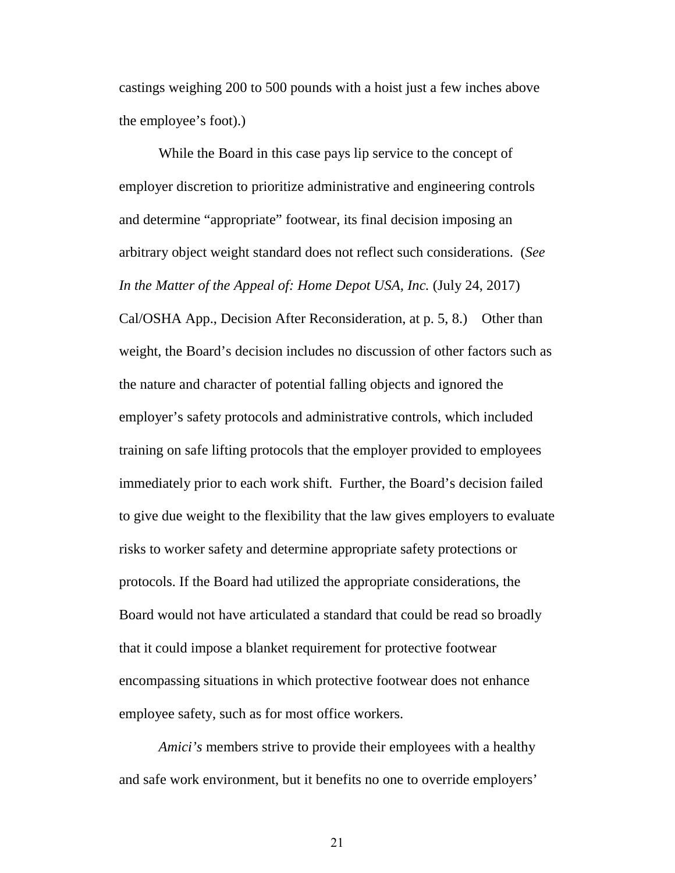castings weighing 200 to 500 pounds with a hoist just a few inches above the employee's foot).)

While the Board in this case pays lip service to the concept of employer discretion to prioritize administrative and engineering controls and determine "appropriate" footwear, its final decision imposing an arbitrary object weight standard does not reflect such considerations. (*See In the Matter of the Appeal of: Home Depot USA, Inc.* (July 24, 2017) Cal/OSHA App., Decision After Reconsideration, at p. 5, 8.) Other than weight, the Board's decision includes no discussion of other factors such as the nature and character of potential falling objects and ignored the employer's safety protocols and administrative controls, which included training on safe lifting protocols that the employer provided to employees immediately prior to each work shift. Further, the Board's decision failed to give due weight to the flexibility that the law gives employers to evaluate risks to worker safety and determine appropriate safety protections or protocols. If the Board had utilized the appropriate considerations, the Board would not have articulated a standard that could be read so broadly that it could impose a blanket requirement for protective footwear encompassing situations in which protective footwear does not enhance employee safety, such as for most office workers.

*Amici's* members strive to provide their employees with a healthy and safe work environment, but it benefits no one to override employers'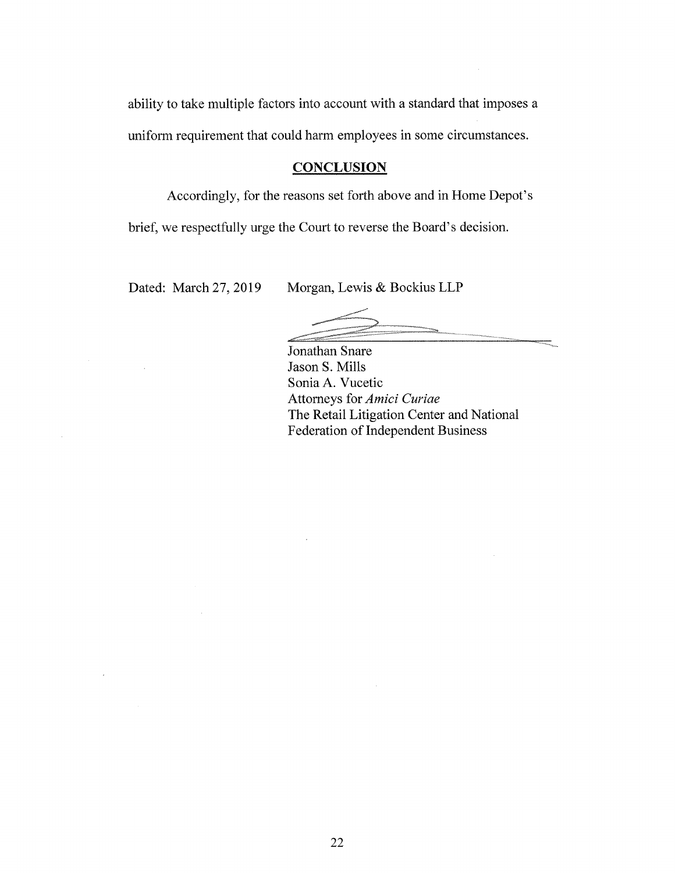ability to take multiple factors into account with a standard that imposes a uniform requirement that could harm employees in some circumstances.

#### **CONCLUSION**

Accordingly, for the reasons set forth above and in Home Depot's

brief, we respectfully urge the Court to reverse the Board's decision.

Dated: March 27, 2019 Morgan, Lewis & Bockius LLP

Jonathan Snare Jason S. Mills Sonia A. Vucetic Attorneys for Amici Curiae The Retail Litigation Center and National Federation of Independent Business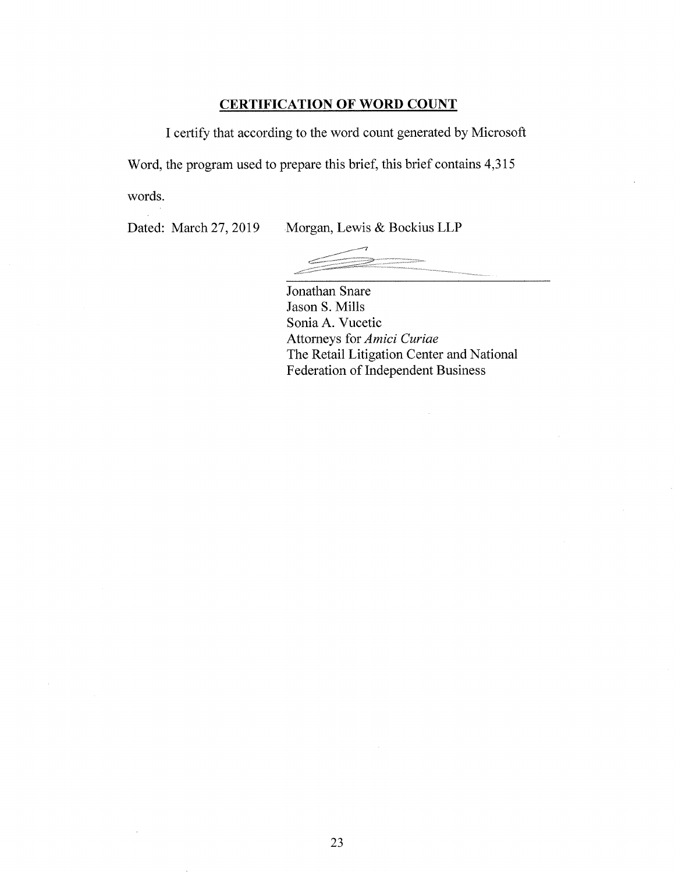## CERTIFICATION OF WORD COUNT

I certify that according to the word count generated by Microsoft

Word, the program used to prepare this brief, this brief contains 4,315

words.

Dated: March 27, 2019 Morgan, Lewis & Bockius LLP

Jonathan Snare Jason S. Mills Sonia A. Vucetic Attorneys for Amici Curiae The Retail Litigation Center and National Federation of Independent Business

 $\bar{z}$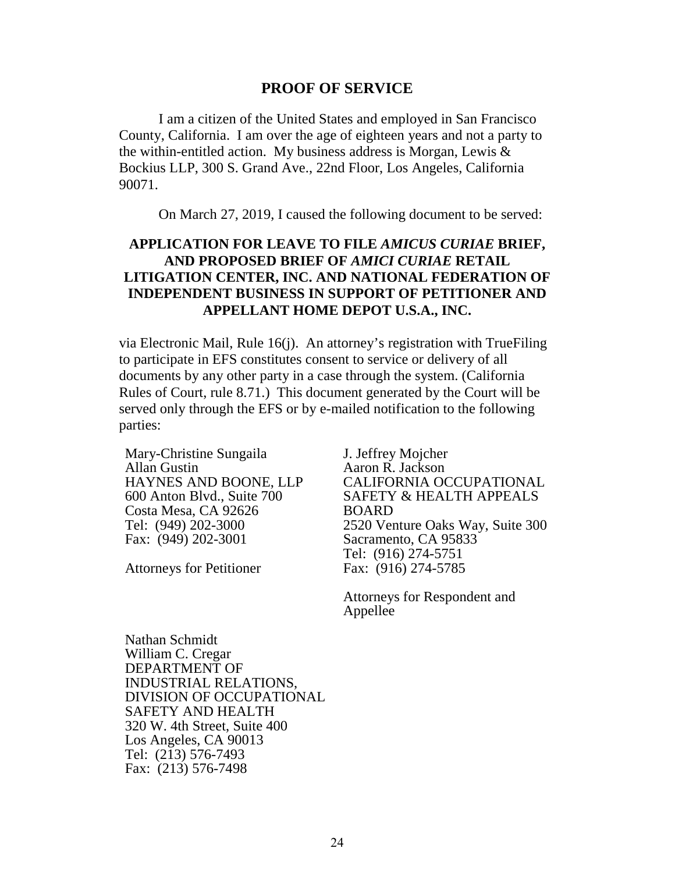### **PROOF OF SERVICE**

I am a citizen of the United States and employed in San Francisco County, California. I am over the age of eighteen years and not a party to the within-entitled action. My business address is Morgan, Lewis & Bockius LLP, 300 S. Grand Ave., 22nd Floor, Los Angeles, California 90071.

On March 27, 2019, I caused the following document to be served:

## **APPLICATION FOR LEAVE TO FILE** *AMICUS CURIAE* **BRIEF, AND PROPOSED BRIEF OF** *AMICI CURIAE* **RETAIL LITIGATION CENTER, INC. AND NATIONAL FEDERATION OF INDEPENDENT BUSINESS IN SUPPORT OF PETITIONER AND APPELLANT HOME DEPOT U.S.A., INC.**

via Electronic Mail, Rule 16(j). An attorney's registration with TrueFiling to participate in EFS constitutes consent to service or delivery of all documents by any other party in a case through the system. (California Rules of Court, rule 8.71.) This document generated by the Court will be served only through the EFS or by e-mailed notification to the following parties:

Mary-Christine Sungaila Allan Gustin HAYNES AND BOONE, LLP 600 Anton Blvd., Suite 700 Costa Mesa, CA 92626 Tel: (949) 202-3000 Fax: (949) 202-3001

Attorneys for Petitioner

J. Jeffrey Mojcher Aaron R. Jackson CALIFORNIA OCCUPATIONAL SAFETY & HEALTH APPEALS BOARD 2520 Venture Oaks Way, Suite 300 Sacramento, CA 95833 Tel: (916) 274-5751 Fax: (916) 274-5785

Attorneys for Respondent and Appellee

Nathan Schmidt William C. Cregar DEPARTMENT OF INDUSTRIAL RELATIONS, DIVISION OF OCCUPATIONAL SAFETY AND HEALTH 320 W. 4th Street, Suite 400 Los Angeles, CA 90013 Tel: (213) 576-7493 Fax: (213) 576-7498